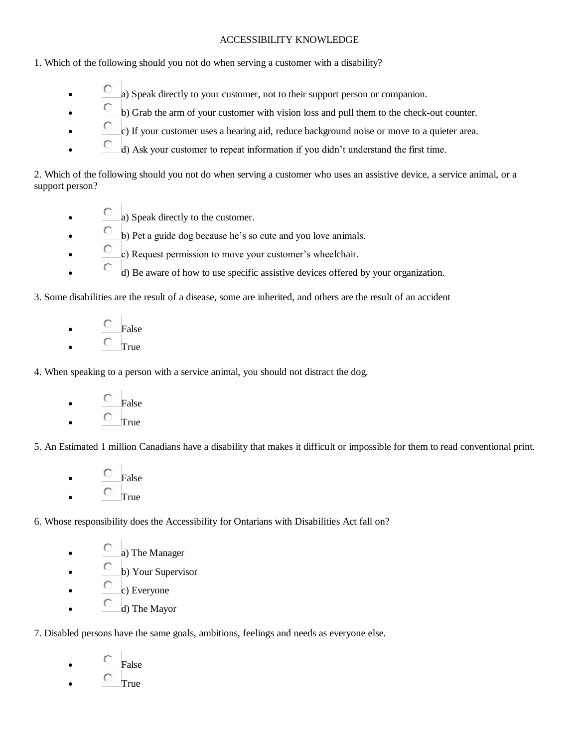## ACCESSIBILITY KNOWLEDGE

1. Which of the following should you not do when serving a customer with a disability?

- a) Speak directly to your customer, not to their support person or companion.
- $\bullet$  b) Grab the arm of your customer with vision loss and pull them to the check-out counter.
- c) If your customer uses a hearing aid, reduce background noise or move to a quieter area.
- $\bigcirc$  d) Ask your customer to repeat information if you didn't understand the first time.

2. Which of the following should you not do when serving a customer who uses an assistive device, a service animal, or a support person?

- a) Speak directly to the customer.
- $\degree$  b) Pet a guide dog because he's so cute and you love animals.
- c) Request permission to move your customer's wheelchair.
- $\degree$  d) Be aware of how to use specific assistive devices offered by your organization.

3. Some disabilities are the result of a disease, some are inherited, and others are the result of an accident

- False
- $\circ$  True

4. When speaking to a person with a service animal, you should not distract the dog.

- $\begin{bmatrix} \n\mathbb{C} & \n\end{bmatrix}$  False
- $\circ$  True

5. An Estimated 1 million Canadians have a disability that makes it difficult or impossible for them to read conventional print.

- False
- $\circ$  True

6. Whose responsibility does the Accessibility for Ontarians with Disabilities Act fall on?

- $\bigcirc$  a) The Manager
- $\circ$  b) Your Supervisor
- $\degree$  c) Everyone
- $\bigcirc$  d) The Mayor

7. Disabled persons have the same goals, ambitions, feelings and needs as everyone else.

- False
- True